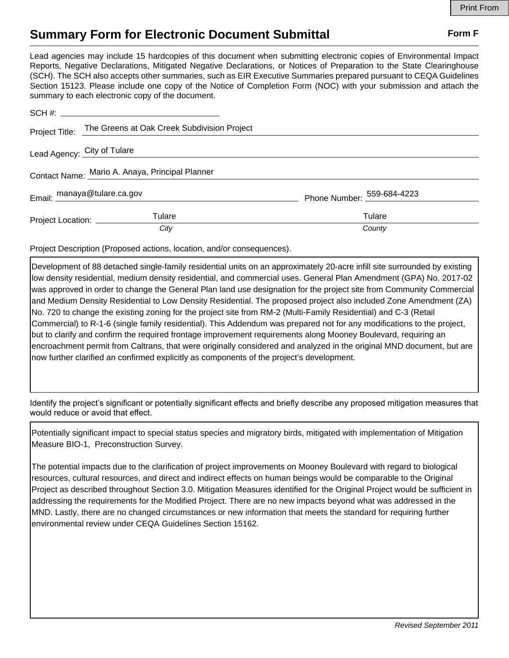## **Summary Form for Electronic Document Submittal Form F Form F**

Lead agencies may include 15 hardcopies of this document when submitting electronic copies of Environmental Impact Reports, Negative Declarations, Mitigated Negative Declarations, or Notices of Preparation to the State Clearinghouse (SCH). The SCH also accepts other summaries, such as EIR Executive Summaries prepared pursuant to CEQA Guidelines Section 15123. Please include one copy of the Notice of Completion Form (NOC) with your submission and attach the summary to each electronic copy of the document.

|                                                 | Project Title: The Greens at Oak Creek Subdivision Project |                                |
|-------------------------------------------------|------------------------------------------------------------|--------------------------------|
| Lead Agency: City of Tulare                     |                                                            |                                |
| Contact Name: Mario A. Anaya, Principal Planner |                                                            |                                |
| Email: manaya@tulare.ca.gov                     |                                                            | Phone Number: $-$ 559-684-4223 |
| Project Location: ___________                   | Tulare                                                     | Tulare                         |
|                                                 | City                                                       | County                         |

Project Description (Proposed actions, location, and/or consequences).

Development of 88 detached single-family residential units on an approximately 20-acre infill site surrounded by existing low density residential, medium density residential, and commercial uses. General Plan Amendment (GPA) No. 2017-02 was approved in order to change the General Plan land use designation for the project site from Community Commercial and Medium Density Residential to Low Density Residential. The proposed project also included Zone Amendment (ZA) No. 720 to change the existing zoning for the project site from RM-2 (Multi-Family Residential) and C-3 (Retail Commercial) to R-1-6 (single family residential). This Addendum was prepared not for any modifications to the project, but to clarify and confirm the required frontage improvement requirements along Mooney Boulevard, requiring an encroachment permit from Caltrans, that were originally considered and analyzed in the original MND document, but are now further clarified an confirmed explicitly as components of the project's development.

Identify the project's significant or potentially significant effects and briefly describe any proposed mitigation measures that would reduce or avoid that effect.

Potentially significant impact to special status species and migratory birds, mitigated with implementation of Mitigation Measure BIO-1, Preconstruction Survey.

The potential impacts due to the clarification of project improvements on Mooney Boulevard with regard to biological resources, cultural resources, and direct and indirect effects on human beings would be comparable to the Original Project as described throughout Section 3.0. Mitigation Measures identified for the Original Project would be sufficient in addressing the requirements for the Modified Project. There are no new impacts beyond what was addressed in the MND. Lastly, there are no changed circumstances or new information that meets the standard for requiring further environmental review under CEQA Guidelines Section 15162.